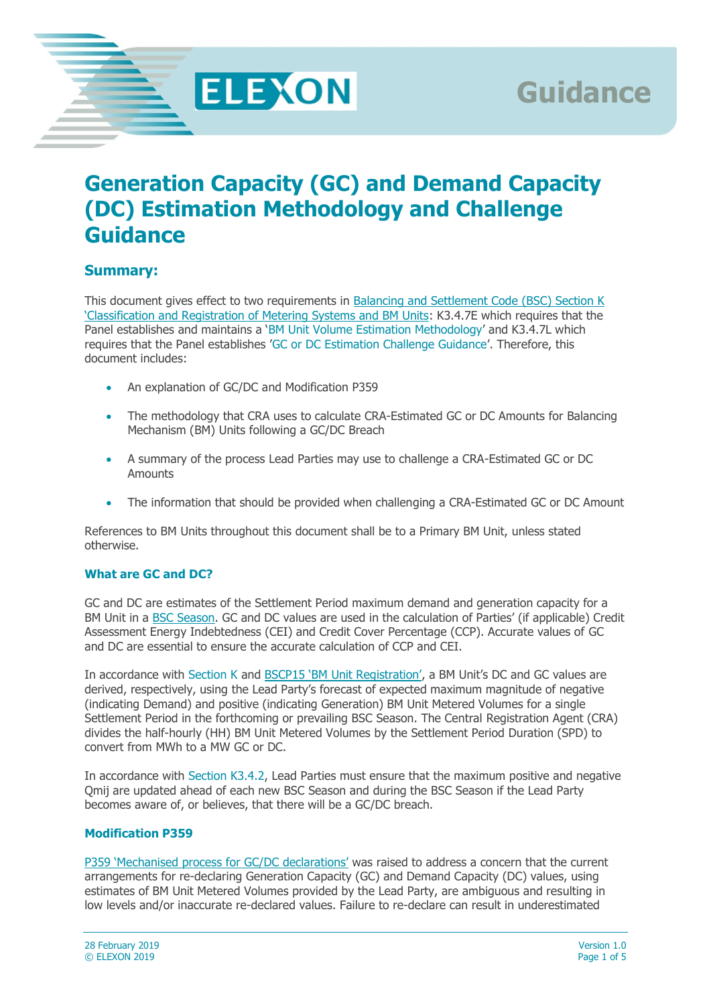**ELEXON** 

# **Generation Capacity (GC) and Demand Capacity (DC) Estimation Methodology and Challenge Guidance**

## **Summary:**

This document gives effect to two requirements in [Balancing and Settlement Code \(BSC\) Section K](https://www.elexon.co.uk/bsc-and-codes/balancing-settlement-code/bsc-sections/)  ['Classification and Registration of Metering Systems and BM Units](https://www.elexon.co.uk/bsc-and-codes/balancing-settlement-code/bsc-sections/): K3.4.7E which requires that the Panel establishes and maintains a 'BM Unit Volume Estimation Methodology' and K3.4.7L which requires that the Panel establishes 'GC or DC Estimation Challenge Guidance'. Therefore, this document includes:

- An explanation of GC/DC and Modification P359
- The methodology that CRA uses to calculate CRA-Estimated GC or DC Amounts for Balancing Mechanism (BM) Units following a GC/DC Breach
- A summary of the process Lead Parties may use to challenge a CRA-Estimated GC or DC **Amounts**
- The information that should be provided when challenging a CRA-Estimated GC or DC Amount

References to BM Units throughout this document shall be to a Primary BM Unit, unless stated otherwise.

#### **What are GC and DC?**

GC and DC are estimates of the Settlement Period maximum demand and generation capacity for a BM Unit in a **BSC Season**. GC and DC values are used in the calculation of Parties' (if applicable) Credit Assessment Energy Indebtedness (CEI) and Credit Cover Percentage (CCP). Accurate values of GC and DC are essential to ensure the accurate calculation of CCP and CEI.

In accordance with Section K and [BSCP15 'BM Unit Registration',](https://www.elexon.co.uk/csd/bscp15-bm-unit-registration/) a BM Unit's DC and GC values are derived, respectively, using the Lead Party's forecast of expected maximum magnitude of negative (indicating Demand) and positive (indicating Generation) BM Unit Metered Volumes for a single Settlement Period in the forthcoming or prevailing BSC Season. The Central Registration Agent (CRA) divides the half-hourly (HH) BM Unit Metered Volumes by the Settlement Period Duration (SPD) to convert from MWh to a MW GC or DC.

In accordance with Section K3.4.2, Lead Parties must ensure that the maximum positive and negative Qmij are updated ahead of each new BSC Season and during the BSC Season if the Lead Party becomes aware of, or believes, that there will be a GC/DC breach.

#### **Modification P359**

[P359 'Mechanised process for GC/DC declarations'](https://www.elexon.co.uk/mod-proposal/p359/) was raised to address a concern that the current arrangements for re-declaring Generation Capacity (GC) and Demand Capacity (DC) values, using estimates of BM Unit Metered Volumes provided by the Lead Party, are ambiguous and resulting in low levels and/or inaccurate re-declared values. Failure to re-declare can result in underestimated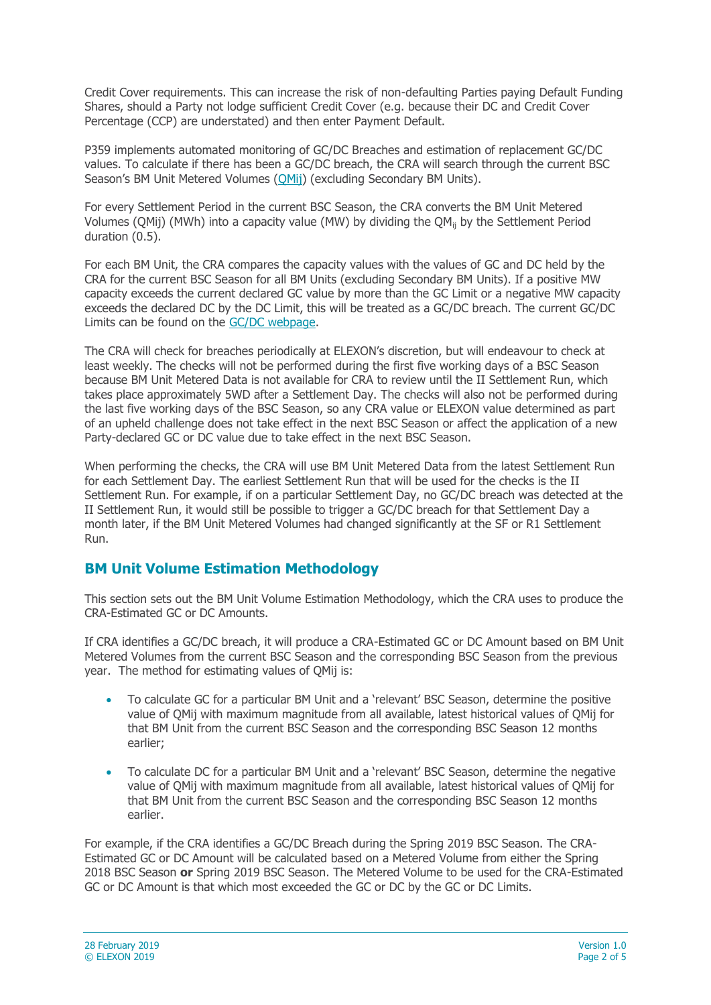Credit Cover requirements. This can increase the risk of non-defaulting Parties paying Default Funding Shares, should a Party not lodge sufficient Credit Cover (e.g. because their DC and Credit Cover Percentage (CCP) are understated) and then enter Payment Default.

P359 implements automated monitoring of GC/DC Breaches and estimation of replacement GC/DC values. To calculate if there has been a GC/DC breach, the CRA will search through the current BSC Season's BM Unit Metered Volumes ([QMij\)](http://ehub.elexon.co.uk/https:/www.elexon.co.uk/bsc-and-codes/balancing-settlement-code/bsc-sections/https:/www.elexon.co.uk/glossary/bm-unit-metered-volume/) (excluding Secondary BM Units).

For every Settlement Period in the current BSC Season, the CRA converts the BM Unit Metered Volumes (QMij) (MWh) into a capacity value (MW) by dividing the  $QM_{ii}$  by the Settlement Period duration (0.5).

For each BM Unit, the CRA compares the capacity values with the values of GC and DC held by the CRA for the current BSC Season for all BM Units (excluding Secondary BM Units). If a positive MW capacity exceeds the current declared GC value by more than the GC Limit or a negative MW capacity exceeds the declared DC by the DC Limit, this will be treated as a GC/DC breach. The current GC/DC Limits can be found on the [GC/DC webpage.](https://www.elexon.co.uk/operations-settlement/balancing-mechanism-units/generation-and-demand-capacity/)

The CRA will check for breaches periodically at ELEXON's discretion, but will endeavour to check at least weekly. The checks will not be performed during the first five working days of a BSC Season because BM Unit Metered Data is not available for CRA to review until the II Settlement Run, which takes place approximately 5WD after a Settlement Day. The checks will also not be performed during the last five working days of the BSC Season, so any CRA value or ELEXON value determined as part of an upheld challenge does not take effect in the next BSC Season or affect the application of a new Party-declared GC or DC value due to take effect in the next BSC Season.

When performing the checks, the CRA will use BM Unit Metered Data from the latest Settlement Run for each Settlement Day. The earliest Settlement Run that will be used for the checks is the II Settlement Run. For example, if on a particular Settlement Day, no GC/DC breach was detected at the II Settlement Run, it would still be possible to trigger a GC/DC breach for that Settlement Day a month later, if the BM Unit Metered Volumes had changed significantly at the SF or R1 Settlement Run.

## **BM Unit Volume Estimation Methodology**

This section sets out the BM Unit Volume Estimation Methodology, which the CRA uses to produce the CRA-Estimated GC or DC Amounts.

If CRA identifies a GC/DC breach, it will produce a CRA-Estimated GC or DC Amount based on BM Unit Metered Volumes from the current BSC Season and the corresponding BSC Season from the previous year. The method for estimating values of QMij is:

- To calculate GC for a particular BM Unit and a 'relevant' BSC Season, determine the positive value of QMij with maximum magnitude from all available, latest historical values of QMij for that BM Unit from the current BSC Season and the corresponding BSC Season 12 months earlier;
- To calculate DC for a particular BM Unit and a 'relevant' BSC Season, determine the negative value of QMij with maximum magnitude from all available, latest historical values of QMij for that BM Unit from the current BSC Season and the corresponding BSC Season 12 months earlier.

For example, if the CRA identifies a GC/DC Breach during the Spring 2019 BSC Season. The CRA-Estimated GC or DC Amount will be calculated based on a Metered Volume from either the Spring 2018 BSC Season **or** Spring 2019 BSC Season. The Metered Volume to be used for the CRA-Estimated GC or DC Amount is that which most exceeded the GC or DC by the GC or DC Limits.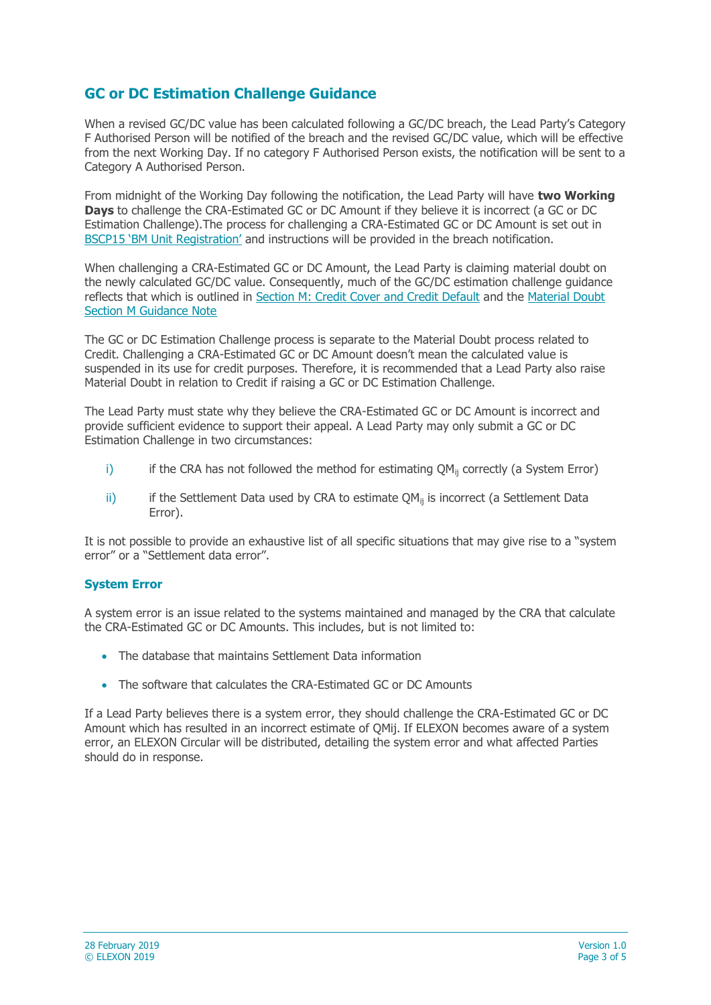## **GC or DC Estimation Challenge Guidance**

When a revised GC/DC value has been calculated following a GC/DC breach, the Lead Party's Category F Authorised Person will be notified of the breach and the revised GC/DC value, which will be effective from the next Working Day. If no category F Authorised Person exists, the notification will be sent to a Category A Authorised Person.

From midnight of the Working Day following the notification, the Lead Party will have **two Working Days** to challenge the CRA-Estimated GC or DC Amount if they believe it is incorrect (a GC or DC Estimation Challenge).The process for challenging a CRA-Estimated GC or DC Amount is set out in [BSCP15 'BM Unit Registration'](https://www.elexon.co.uk/bsc-and-codes/bsc-related-documents/bscps/) and instructions will be provided in the breach notification.

When challenging a CRA-Estimated GC or DC Amount, the Lead Party is claiming material doubt on the newly calculated GC/DC value. Consequently, much of the GC/DC estimation challenge guidance reflects that which is outlined in [Section M: Credit Cover and Credit Default](https://www.elexon.co.uk/bsc-and-codes/balancing-settlement-code/bsc-sections/) and the [Material Doubt](https://www.elexon.co.uk/guidance-note/material-doubt-section-m/)  [Section M Guidance Note](https://www.elexon.co.uk/guidance-note/material-doubt-section-m/)

The GC or DC Estimation Challenge process is separate to the Material Doubt process related to Credit. Challenging a CRA-Estimated GC or DC Amount doesn't mean the calculated value is suspended in its use for credit purposes. Therefore, it is recommended that a Lead Party also raise Material Doubt in relation to Credit if raising a GC or DC Estimation Challenge.

The Lead Party must state why they believe the CRA-Estimated GC or DC Amount is incorrect and provide sufficient evidence to support their appeal. A Lead Party may only submit a GC or DC Estimation Challenge in two circumstances:

- i) if the CRA has not followed the method for estimating  $QM<sub>ii</sub>$  correctly (a System Error)
- ii) if the Settlement Data used by CRA to estimate  $QM_{ii}$  is incorrect (a Settlement Data Error).

It is not possible to provide an exhaustive list of all specific situations that may give rise to a "system error" or a "Settlement data error".

#### **System Error**

A system error is an issue related to the systems maintained and managed by the CRA that calculate the CRA-Estimated GC or DC Amounts. This includes, but is not limited to:

- The database that maintains Settlement Data information
- The software that calculates the CRA-Estimated GC or DC Amounts

If a Lead Party believes there is a system error, they should challenge the CRA-Estimated GC or DC Amount which has resulted in an incorrect estimate of QMij. If ELEXON becomes aware of a system error, an ELEXON Circular will be distributed, detailing the system error and what affected Parties should do in response.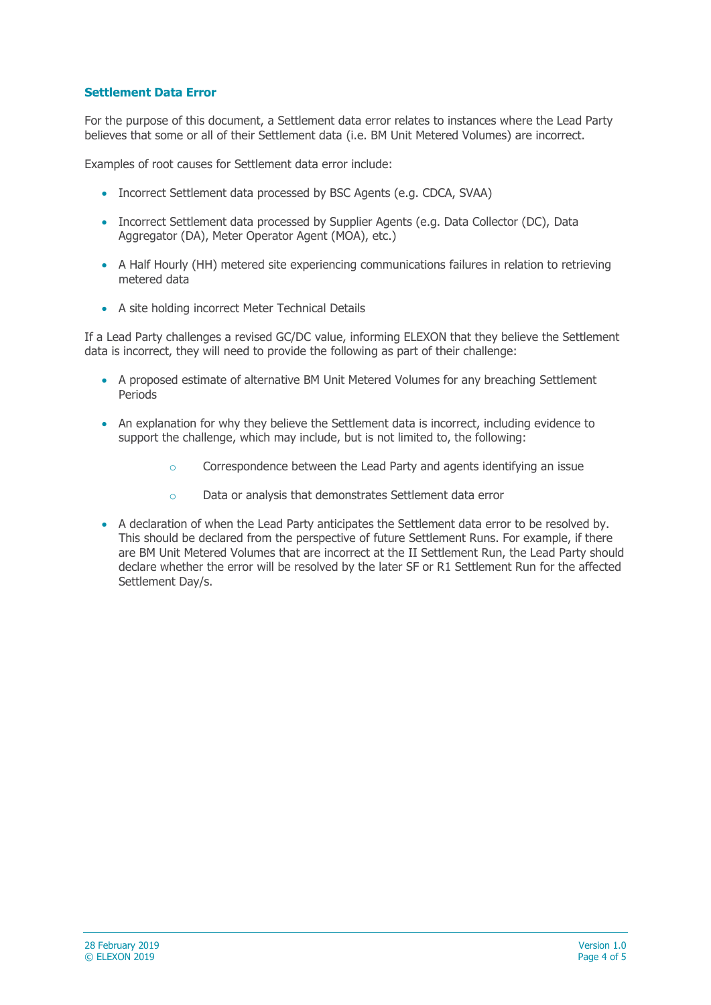### **Settlement Data Error**

For the purpose of this document, a Settlement data error relates to instances where the Lead Party believes that some or all of their Settlement data (i.e. BM Unit Metered Volumes) are incorrect.

Examples of root causes for Settlement data error include:

- Incorrect Settlement data processed by BSC Agents (e.g. CDCA, SVAA)
- Incorrect Settlement data processed by Supplier Agents (e.g. Data Collector (DC), Data Aggregator (DA), Meter Operator Agent (MOA), etc.)
- A Half Hourly (HH) metered site experiencing communications failures in relation to retrieving metered data
- A site holding incorrect Meter Technical Details

If a Lead Party challenges a revised GC/DC value, informing ELEXON that they believe the Settlement data is incorrect, they will need to provide the following as part of their challenge:

- A proposed estimate of alternative BM Unit Metered Volumes for any breaching Settlement Periods
- An explanation for why they believe the Settlement data is incorrect, including evidence to support the challenge, which may include, but is not limited to, the following:
	- o Correspondence between the Lead Party and agents identifying an issue
	- o Data or analysis that demonstrates Settlement data error
- A declaration of when the Lead Party anticipates the Settlement data error to be resolved by. This should be declared from the perspective of future Settlement Runs. For example, if there are BM Unit Metered Volumes that are incorrect at the II Settlement Run, the Lead Party should declare whether the error will be resolved by the later SF or R1 Settlement Run for the affected Settlement Day/s.